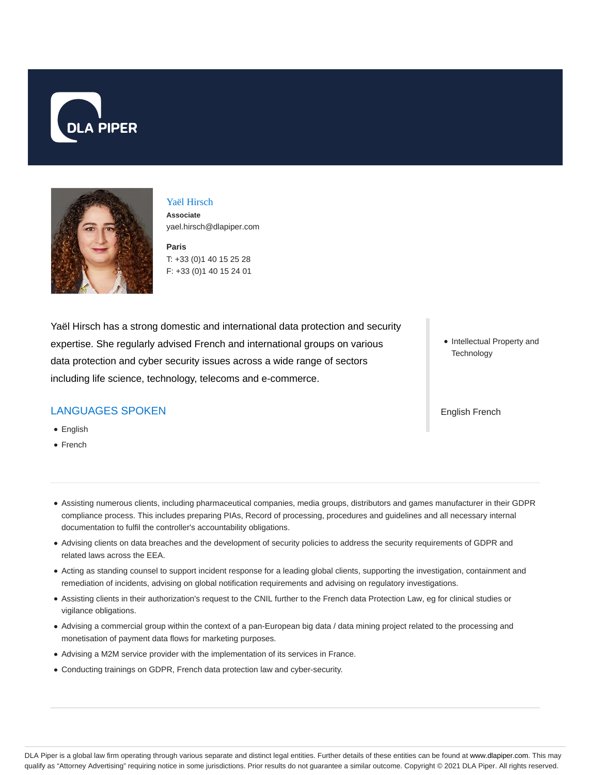



#### Yaël Hirsch

**Associate** yael.hirsch@dlapiper.com

**Paris** T: +33 (0)1 40 15 25 28 F: +33 (0)1 40 15 24 01

Yaël Hirsch has a strong domestic and international data protection and security expertise. She regularly advised French and international groups on various data protection and cyber security issues across a wide range of sectors including life science, technology, telecoms and e-commerce.

### LANGUAGES SPOKEN

- English
- French

• Intellectual Property and **Technology** 

English French

- Assisting numerous clients, including pharmaceutical companies, media groups, distributors and games manufacturer in their GDPR compliance process. This includes preparing PIAs, Record of processing, procedures and guidelines and all necessary internal documentation to fulfil the controller's accountability obligations.
- Advising clients on data breaches and the development of security policies to address the security requirements of GDPR and related laws across the EEA.
- Acting as standing counsel to support incident response for a leading global clients, supporting the investigation, containment and remediation of incidents, advising on global notification requirements and advising on regulatory investigations.
- Assisting clients in their authorization's request to the CNIL further to the French data Protection Law, eg for clinical studies or vigilance obligations.
- Advising a commercial group within the context of a pan-European big data / data mining project related to the processing and monetisation of payment data flows for marketing purposes.
- Advising a M2M service provider with the implementation of its services in France.
- Conducting trainings on GDPR, French data protection law and cyber-security.